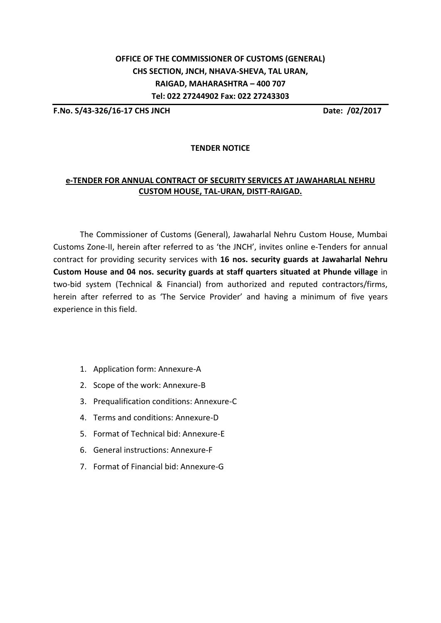## **OFFICE OF THE COMMISSIONER OF CUSTOMS (GENERAL) CHS SECTION, JNCH, NHAVA-SHEVA, TAL URAN, RAIGAD, MAHARASHTRA – 400 707 Tel: 022 27244902 Fax: 022 27243303**

**F.No. S/43-326/16-17 CHS JNCH Date: /02/2017**

## **TENDER NOTICE**

## **e-TENDER FOR ANNUAL CONTRACT OF SECURITY SERVICES AT JAWAHARLAL NEHRU CUSTOM HOUSE, TAL-URAN, DISTT-RAIGAD.**

The Commissioner of Customs (General), Jawaharlal Nehru Custom House, Mumbai Customs Zone-II, herein after referred to as 'the JNCH', invites online e-Tenders for annual contract for providing security services with **16 nos. security guards at Jawaharlal Nehru Custom House and 04 nos. security guards at staff quarters situated at Phunde village** in two-bid system (Technical & Financial) from authorized and reputed contractors/firms, herein after referred to as 'The Service Provider' and having a minimum of five years experience in this field.

- 1. Application form: Annexure-A
- 2. Scope of the work: Annexure-B
- 3. Prequalification conditions: Annexure-C
- 4. Terms and conditions: Annexure-D
- 5. Format of Technical bid: Annexure-E
- 6. General instructions: Annexure-F
- 7. Format of Financial bid: Annexure-G